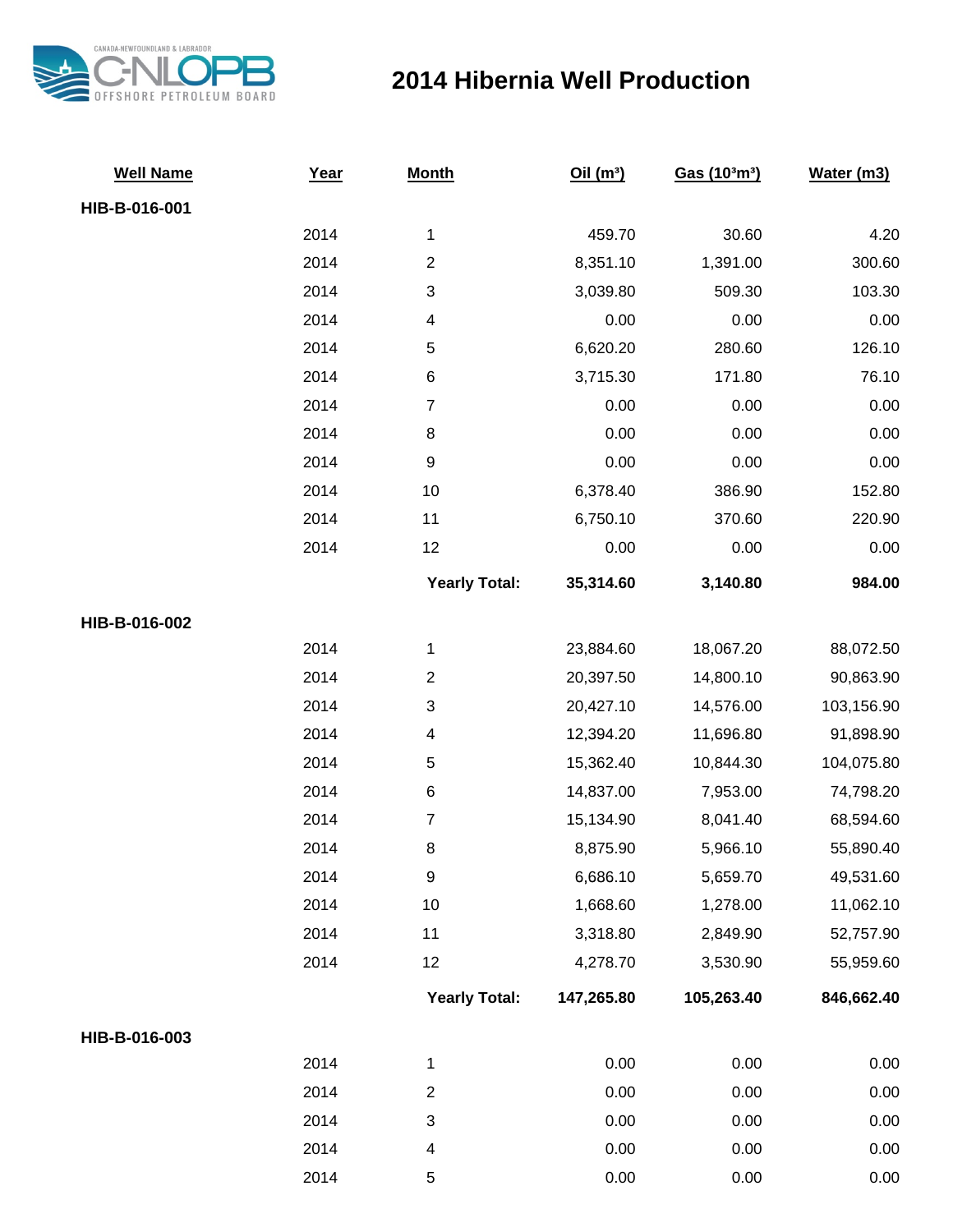

## **2014 Hibernia Well Production**

| <b>Well Name</b> | Year | <b>Month</b>         | Oil(m <sup>3</sup> ) | Gas (103m3) | Water (m3) |
|------------------|------|----------------------|----------------------|-------------|------------|
| HIB-B-016-001    |      |                      |                      |             |            |
|                  | 2014 | $\mathbf{1}$         | 459.70               | 30.60       | 4.20       |
|                  | 2014 | $\overline{2}$       | 8,351.10             | 1,391.00    | 300.60     |
|                  | 2014 | 3                    | 3,039.80             | 509.30      | 103.30     |
|                  | 2014 | 4                    | 0.00                 | 0.00        | 0.00       |
|                  | 2014 | 5                    | 6,620.20             | 280.60      | 126.10     |
|                  | 2014 | 6                    | 3,715.30             | 171.80      | 76.10      |
|                  | 2014 | $\boldsymbol{7}$     | 0.00                 | 0.00        | 0.00       |
|                  | 2014 | $\bf8$               | 0.00                 | 0.00        | 0.00       |
|                  | 2014 | $\boldsymbol{9}$     | 0.00                 | 0.00        | 0.00       |
|                  | 2014 | $10$                 | 6,378.40             | 386.90      | 152.80     |
|                  | 2014 | 11                   | 6,750.10             | 370.60      | 220.90     |
|                  | 2014 | 12                   | 0.00                 | 0.00        | 0.00       |
|                  |      | <b>Yearly Total:</b> | 35,314.60            | 3,140.80    | 984.00     |
| HIB-B-016-002    |      |                      |                      |             |            |
|                  | 2014 | 1                    | 23,884.60            | 18,067.20   | 88,072.50  |
|                  | 2014 | $\overline{c}$       | 20,397.50            | 14,800.10   | 90,863.90  |
|                  | 2014 | 3                    | 20,427.10            | 14,576.00   | 103,156.90 |
|                  | 2014 | 4                    | 12,394.20            | 11,696.80   | 91,898.90  |
|                  | 2014 | 5                    | 15,362.40            | 10,844.30   | 104,075.80 |
|                  | 2014 | $\,6$                | 14,837.00            | 7,953.00    | 74,798.20  |
|                  | 2014 | $\overline{7}$       | 15,134.90            | 8,041.40    | 68,594.60  |
|                  | 2014 | 8                    | 8,875.90             | 5,966.10    | 55,890.40  |
|                  | 2014 | $\mathsf 9$          | 6,686.10             | 5,659.70    | 49,531.60  |
|                  | 2014 | $10$                 | 1,668.60             | 1,278.00    | 11,062.10  |
|                  | 2014 | 11                   | 3,318.80             | 2,849.90    | 52,757.90  |
|                  | 2014 | 12                   | 4,278.70             | 3,530.90    | 55,959.60  |
|                  |      | <b>Yearly Total:</b> | 147,265.80           | 105,263.40  | 846,662.40 |
| HIB-B-016-003    |      |                      |                      |             |            |
|                  | 2014 | $\mathbf{1}$         | 0.00                 | 0.00        | 0.00       |
|                  | 2014 | $\overline{2}$       | 0.00                 | 0.00        | 0.00       |
|                  | 2014 | 3                    | 0.00                 | 0.00        | 0.00       |
|                  | 2014 | 4                    | 0.00                 | 0.00        | 0.00       |
|                  | 2014 | 5                    | 0.00                 | 0.00        | 0.00       |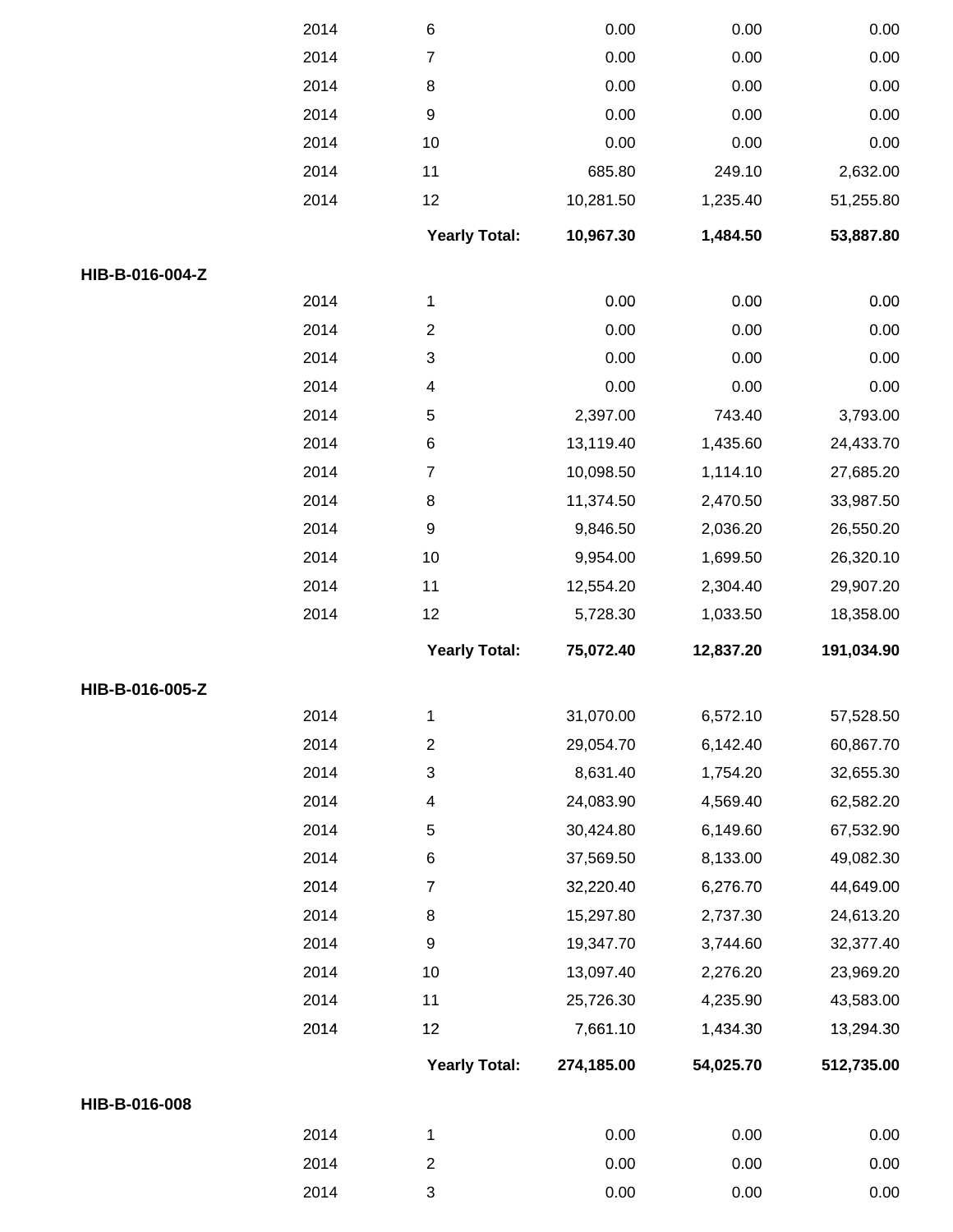|                 | 2014 | $\,6$                   | 0.00       | 0.00      | 0.00       |
|-----------------|------|-------------------------|------------|-----------|------------|
|                 | 2014 | $\overline{7}$          | 0.00       | 0.00      | 0.00       |
|                 | 2014 | $\bf 8$                 | 0.00       | 0.00      | 0.00       |
|                 | 2014 | $\boldsymbol{9}$        | 0.00       | 0.00      | 0.00       |
|                 | 2014 | 10                      | 0.00       | 0.00      | 0.00       |
|                 | 2014 | 11                      | 685.80     | 249.10    | 2,632.00   |
|                 | 2014 | 12                      | 10,281.50  | 1,235.40  | 51,255.80  |
|                 |      | <b>Yearly Total:</b>    | 10,967.30  | 1,484.50  | 53,887.80  |
| HIB-B-016-004-Z |      |                         |            |           |            |
|                 | 2014 | 1                       | 0.00       | 0.00      | 0.00       |
|                 | 2014 | $\overline{\mathbf{c}}$ | 0.00       | 0.00      | 0.00       |
|                 | 2014 | 3                       | 0.00       | 0.00      | 0.00       |
|                 | 2014 | 4                       | 0.00       | 0.00      | 0.00       |
|                 | 2014 | $\,$ 5 $\,$             | 2,397.00   | 743.40    | 3,793.00   |
|                 | 2014 | $\,6$                   | 13,119.40  | 1,435.60  | 24,433.70  |
|                 | 2014 | $\overline{7}$          | 10,098.50  | 1,114.10  | 27,685.20  |
|                 | 2014 | $\bf 8$                 | 11,374.50  | 2,470.50  | 33,987.50  |
|                 | 2014 | $\boldsymbol{9}$        | 9,846.50   | 2,036.20  | 26,550.20  |
|                 | 2014 | 10                      | 9,954.00   | 1,699.50  | 26,320.10  |
|                 | 2014 | 11                      | 12,554.20  | 2,304.40  | 29,907.20  |
|                 | 2014 | 12                      | 5,728.30   | 1,033.50  | 18,358.00  |
|                 |      | <b>Yearly Total:</b>    | 75,072.40  | 12,837.20 | 191,034.90 |
| HIB-B-016-005-Z |      |                         |            |           |            |
|                 | 2014 | 1                       | 31,070.00  | 6,572.10  | 57,528.50  |
|                 | 2014 | $\overline{\mathbf{c}}$ | 29,054.70  | 6,142.40  | 60,867.70  |
|                 | 2014 | 3                       | 8,631.40   | 1,754.20  | 32,655.30  |
|                 | 2014 | 4                       | 24,083.90  | 4,569.40  | 62,582.20  |
|                 | 2014 | 5                       | 30,424.80  | 6,149.60  | 67,532.90  |
|                 | 2014 | 6                       | 37,569.50  | 8,133.00  | 49,082.30  |
|                 | 2014 | 7                       | 32,220.40  | 6,276.70  | 44,649.00  |
|                 | 2014 | $\bf 8$                 | 15,297.80  | 2,737.30  | 24,613.20  |
|                 | 2014 | $\boldsymbol{9}$        | 19,347.70  | 3,744.60  | 32,377.40  |
|                 | 2014 | 10                      | 13,097.40  | 2,276.20  | 23,969.20  |
|                 | 2014 | 11                      | 25,726.30  | 4,235.90  | 43,583.00  |
|                 | 2014 | 12                      | 7,661.10   | 1,434.30  | 13,294.30  |
|                 |      | <b>Yearly Total:</b>    | 274,185.00 | 54,025.70 | 512,735.00 |
| HIB-B-016-008   |      |                         |            |           |            |
|                 |      |                         | 0.00       | 0.00      | 0.00       |
|                 | 2014 | 1                       |            |           |            |
|                 | 2014 | $\overline{\mathbf{c}}$ | 0.00       | 0.00      | 0.00       |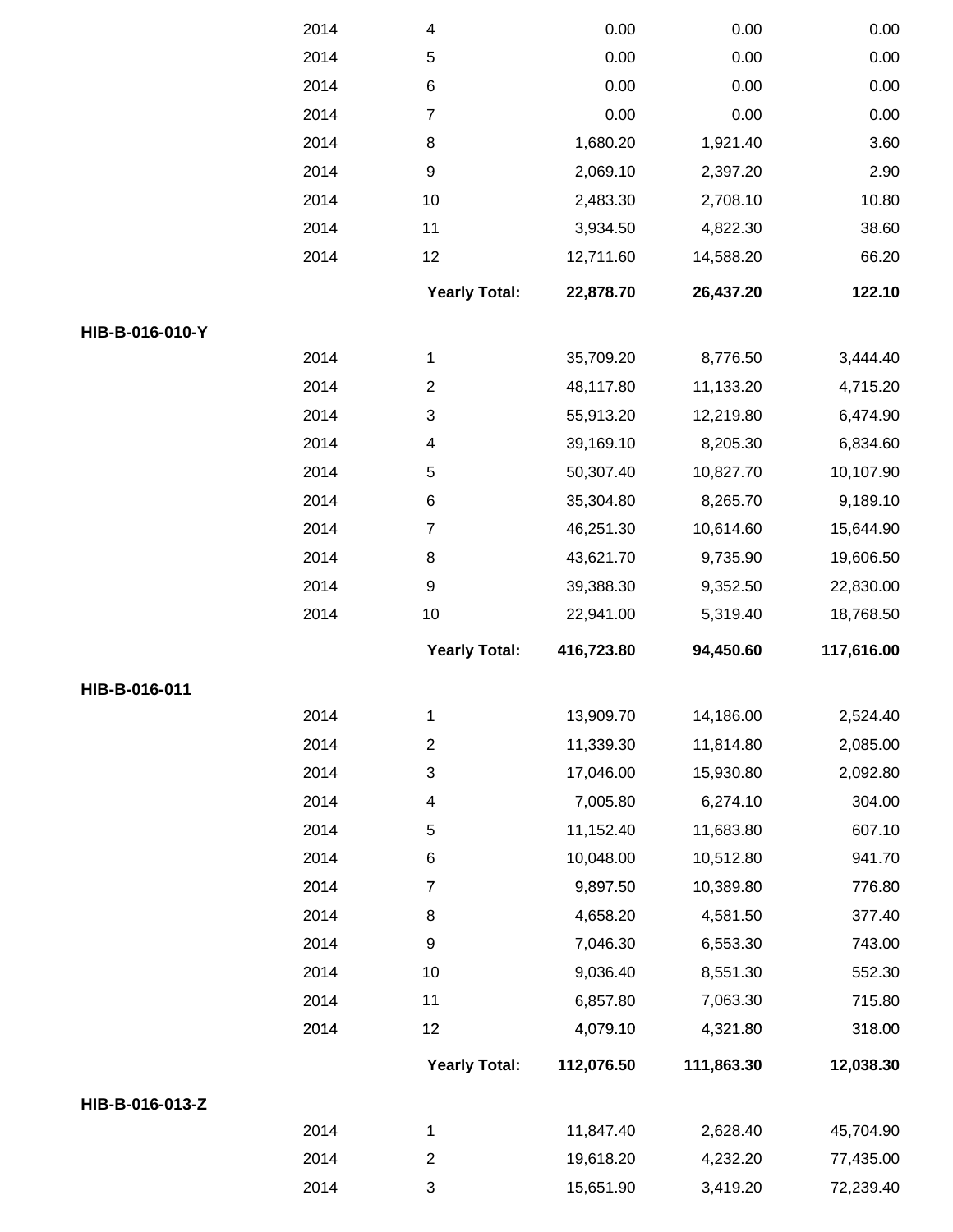|                 | 2014 | 4                       | 0.00       | 0.00       | 0.00       |
|-----------------|------|-------------------------|------------|------------|------------|
|                 | 2014 | $\mathbf 5$             | 0.00       | 0.00       | 0.00       |
|                 | 2014 | 6                       | 0.00       | 0.00       | 0.00       |
|                 | 2014 | $\overline{7}$          | 0.00       | 0.00       | 0.00       |
|                 | 2014 | 8                       | 1,680.20   | 1,921.40   | 3.60       |
|                 | 2014 | 9                       | 2,069.10   | 2,397.20   | 2.90       |
|                 | 2014 | 10                      | 2,483.30   | 2,708.10   | 10.80      |
|                 | 2014 | 11                      | 3,934.50   | 4,822.30   | 38.60      |
|                 | 2014 | 12                      | 12,711.60  | 14,588.20  | 66.20      |
|                 |      | <b>Yearly Total:</b>    | 22,878.70  | 26,437.20  | 122.10     |
| HIB-B-016-010-Y |      |                         |            |            |            |
|                 | 2014 | 1                       | 35,709.20  | 8,776.50   | 3,444.40   |
|                 | 2014 | $\overline{\mathbf{c}}$ | 48,117.80  | 11,133.20  | 4,715.20   |
|                 | 2014 | 3                       | 55,913.20  | 12,219.80  | 6,474.90   |
|                 | 2014 | 4                       | 39,169.10  | 8,205.30   | 6,834.60   |
|                 | 2014 | $\mathbf 5$             | 50,307.40  | 10,827.70  | 10,107.90  |
|                 | 2014 | 6                       | 35,304.80  | 8,265.70   | 9,189.10   |
|                 | 2014 | $\overline{7}$          | 46,251.30  | 10,614.60  | 15,644.90  |
|                 | 2014 | 8                       | 43,621.70  | 9,735.90   | 19,606.50  |
|                 | 2014 | 9                       | 39,388.30  | 9,352.50   | 22,830.00  |
|                 | 2014 | 10                      | 22,941.00  | 5,319.40   | 18,768.50  |
|                 |      |                         |            |            |            |
|                 |      | <b>Yearly Total:</b>    | 416,723.80 | 94,450.60  | 117,616.00 |
| HIB-B-016-011   |      |                         |            |            |            |
|                 | 2014 | 1                       | 13,909.70  | 14,186.00  | 2,524.40   |
|                 | 2014 | $\overline{c}$          | 11,339.30  | 11,814.80  | 2,085.00   |
|                 | 2014 | 3                       | 17,046.00  | 15,930.80  | 2,092.80   |
|                 | 2014 | 4                       | 7,005.80   | 6,274.10   | 304.00     |
|                 | 2014 | 5                       | 11,152.40  | 11,683.80  | 607.10     |
|                 | 2014 | 6                       | 10,048.00  | 10,512.80  | 941.70     |
|                 | 2014 | $\overline{7}$          | 9,897.50   | 10,389.80  | 776.80     |
|                 | 2014 | 8                       | 4,658.20   | 4,581.50   | 377.40     |
|                 | 2014 | 9                       | 7,046.30   | 6,553.30   | 743.00     |
|                 | 2014 | 10                      | 9,036.40   | 8,551.30   | 552.30     |
|                 | 2014 | 11                      | 6,857.80   | 7,063.30   | 715.80     |
|                 | 2014 | 12                      | 4,079.10   | 4,321.80   | 318.00     |
|                 |      | <b>Yearly Total:</b>    | 112,076.50 | 111,863.30 | 12,038.30  |
| HIB-B-016-013-Z |      |                         |            |            |            |
|                 | 2014 | 1                       | 11,847.40  | 2,628.40   | 45,704.90  |
|                 | 2014 | $\overline{c}$          | 19,618.20  | 4,232.20   | 77,435.00  |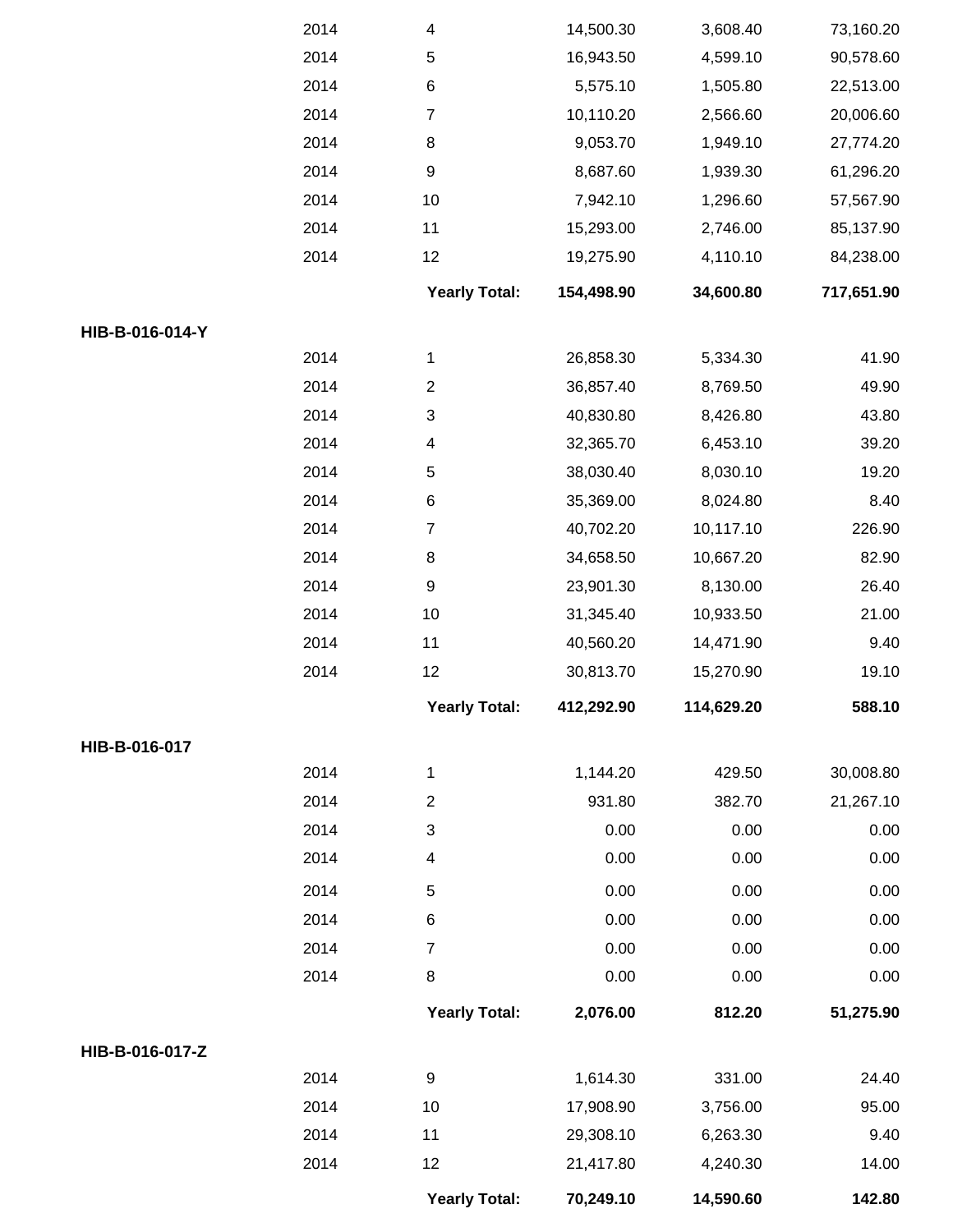|                 | 2014 | $\overline{\mathcal{A}}$  | 14,500.30  | 3,608.40   | 73,160.20  |
|-----------------|------|---------------------------|------------|------------|------------|
|                 | 2014 | $\,$ 5 $\,$               | 16,943.50  | 4,599.10   | 90,578.60  |
|                 | 2014 | $\,6$                     | 5,575.10   | 1,505.80   | 22,513.00  |
|                 | 2014 | $\boldsymbol{7}$          | 10,110.20  | 2,566.60   | 20,006.60  |
|                 | 2014 | $\,8\,$                   | 9,053.70   | 1,949.10   | 27,774.20  |
|                 | 2014 | $\boldsymbol{9}$          | 8,687.60   | 1,939.30   | 61,296.20  |
|                 | 2014 | $10$                      | 7,942.10   | 1,296.60   | 57,567.90  |
|                 | 2014 | 11                        | 15,293.00  | 2,746.00   | 85,137.90  |
|                 | 2014 | 12                        | 19,275.90  | 4,110.10   | 84,238.00  |
|                 |      | <b>Yearly Total:</b>      | 154,498.90 | 34,600.80  | 717,651.90 |
| HIB-B-016-014-Y |      |                           |            |            |            |
|                 | 2014 | 1                         | 26,858.30  | 5,334.30   | 41.90      |
|                 | 2014 | $\mathbf{2}$              | 36,857.40  | 8,769.50   | 49.90      |
|                 | 2014 | $\ensuremath{\mathsf{3}}$ | 40,830.80  | 8,426.80   | 43.80      |
|                 | 2014 | $\overline{\mathbf{4}}$   | 32,365.70  | 6,453.10   | 39.20      |
|                 | 2014 | $\mathbf 5$               | 38,030.40  | 8,030.10   | 19.20      |
|                 | 2014 | $\,6$                     | 35,369.00  | 8,024.80   | 8.40       |
|                 | 2014 | 7                         | 40,702.20  | 10,117.10  | 226.90     |
|                 | 2014 | $\bf 8$                   | 34,658.50  | 10,667.20  | 82.90      |
|                 | 2014 | 9                         | 23,901.30  | 8,130.00   | 26.40      |
|                 | 2014 | 10                        | 31,345.40  | 10,933.50  | 21.00      |
|                 | 2014 | 11                        | 40,560.20  | 14,471.90  | 9.40       |
|                 | 2014 | 12                        | 30,813.70  | 15,270.90  | 19.10      |
|                 |      | <b>Yearly Total:</b>      | 412,292.90 | 114,629.20 | 588.10     |
| HIB-B-016-017   |      |                           |            |            |            |
|                 | 2014 | 1                         | 1,144.20   | 429.50     | 30,008.80  |
|                 | 2014 | $\overline{2}$            | 931.80     | 382.70     | 21,267.10  |
|                 | 2014 | 3                         | 0.00       | 0.00       | 0.00       |
|                 | 2014 | $\overline{\mathcal{A}}$  | 0.00       | 0.00       | 0.00       |
|                 | 2014 | $\sqrt{5}$                | 0.00       | 0.00       | 0.00       |
|                 | 2014 | $\,6$                     | 0.00       | 0.00       | 0.00       |
|                 | 2014 | $\overline{7}$            | 0.00       | 0.00       | 0.00       |
|                 | 2014 | $\bf 8$                   | 0.00       | 0.00       | 0.00       |
|                 |      | <b>Yearly Total:</b>      | 2,076.00   | 812.20     | 51,275.90  |
| HIB-B-016-017-Z |      |                           |            |            |            |
|                 | 2014 | $\boldsymbol{9}$          | 1,614.30   | 331.00     | 24.40      |
|                 | 2014 | 10                        | 17,908.90  | 3,756.00   | 95.00      |
|                 | 2014 | 11                        | 29,308.10  | 6,263.30   | 9.40       |
|                 | 2014 | 12                        | 21,417.80  | 4,240.30   | 14.00      |
|                 |      | <b>Yearly Total:</b>      | 70,249.10  | 14,590.60  | 142.80     |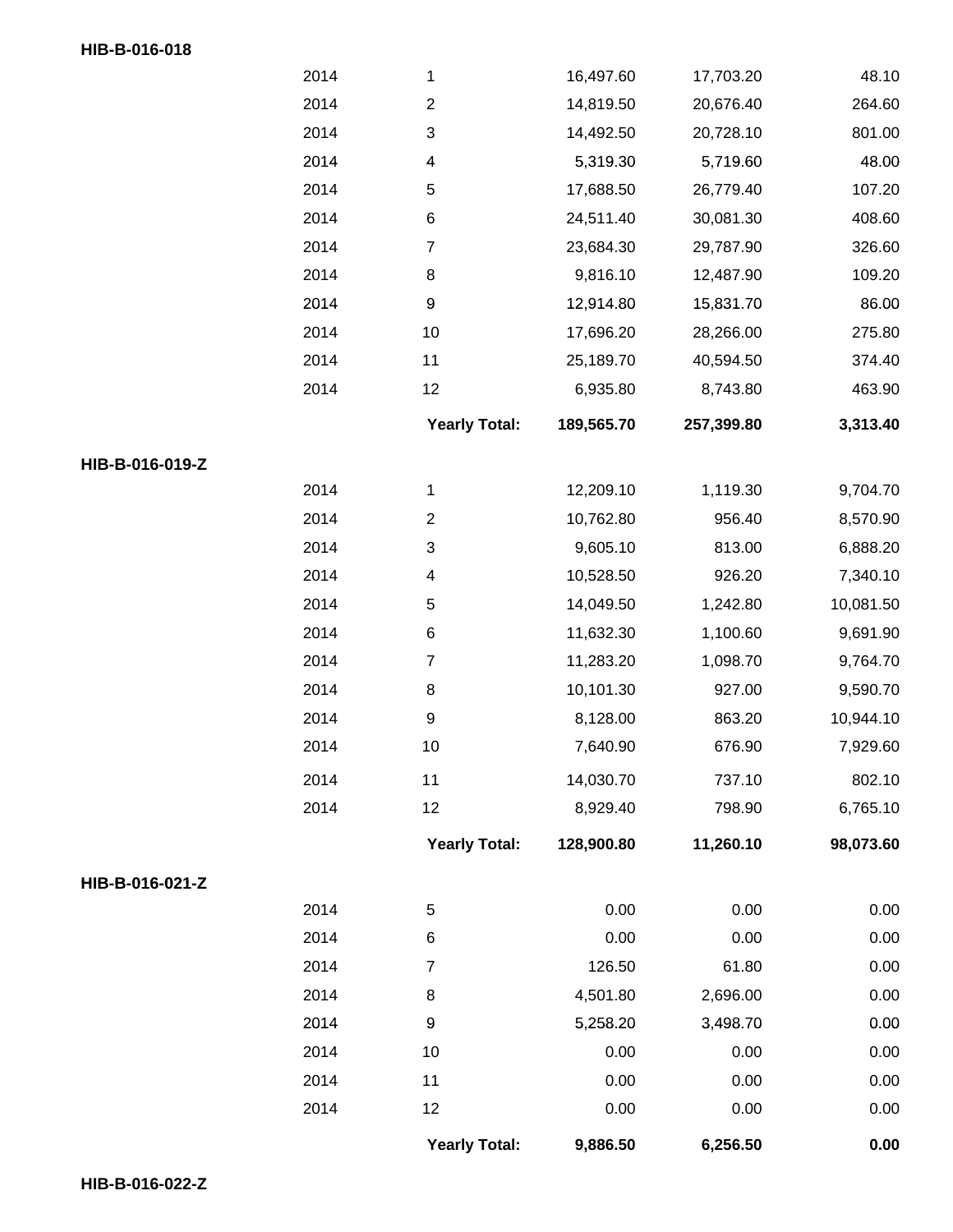## **HIB-B-016-018**

|                 |      | <b>Yearly Total:</b>    | 9,886.50   | 6,256.50   | 0.00      |
|-----------------|------|-------------------------|------------|------------|-----------|
|                 | 2014 | 12                      | 0.00       | 0.00       | 0.00      |
|                 | 2014 | 11                      | 0.00       | 0.00       | 0.00      |
|                 | 2014 | $10$                    | 0.00       | 0.00       | 0.00      |
|                 | 2014 | 9                       | 5,258.20   | 3,498.70   | 0.00      |
|                 | 2014 | $\,8\,$                 | 4,501.80   | 2,696.00   | 0.00      |
|                 | 2014 | $\boldsymbol{7}$        | 126.50     | 61.80      | 0.00      |
|                 | 2014 | 6                       | 0.00       | 0.00       | 0.00      |
|                 | 2014 | $\mathbf 5$             | 0.00       | 0.00       | 0.00      |
| HIB-B-016-021-Z |      |                         |            |            |           |
|                 |      | <b>Yearly Total:</b>    | 128,900.80 | 11,260.10  | 98,073.60 |
|                 | 2014 | 12                      | 8,929.40   | 798.90     | 6,765.10  |
|                 | 2014 | 11                      | 14,030.70  | 737.10     | 802.10    |
|                 | 2014 | $10$                    | 7,640.90   | 676.90     | 7,929.60  |
|                 | 2014 | 9                       | 8,128.00   | 863.20     | 10,944.10 |
|                 | 2014 | $\,8\,$                 | 10,101.30  | 927.00     | 9,590.70  |
|                 | 2014 | $\boldsymbol{7}$        | 11,283.20  | 1,098.70   | 9,764.70  |
|                 | 2014 | 6                       | 11,632.30  | 1,100.60   | 9,691.90  |
|                 | 2014 | 5                       | 14,049.50  | 1,242.80   | 10,081.50 |
|                 | 2014 | 4                       | 10,528.50  | 926.20     | 7,340.10  |
|                 | 2014 | 3                       | 9,605.10   | 813.00     | 6,888.20  |
|                 | 2014 | $\overline{\mathbf{c}}$ | 10,762.80  | 956.40     | 8,570.90  |
|                 | 2014 | 1                       | 12,209.10  | 1,119.30   | 9,704.70  |
| HIB-B-016-019-Z |      |                         |            |            |           |
|                 |      | <b>Yearly Total:</b>    | 189,565.70 | 257,399.80 | 3,313.40  |
|                 | 2014 | 12                      | 6,935.80   | 8,743.80   | 463.90    |
|                 | 2014 | 11                      | 25,189.70  | 40,594.50  | 374.40    |
|                 | 2014 | $10$                    | 17,696.20  | 28,266.00  | 275.80    |
|                 | 2014 | $\boldsymbol{9}$        | 12,914.80  | 15,831.70  | 86.00     |
|                 | 2014 | $\bf 8$                 | 9,816.10   | 12,487.90  | 109.20    |
|                 | 2014 | $\overline{7}$          | 23,684.30  | 29,787.90  | 326.60    |
|                 | 2014 | 6                       | 24,511.40  | 30,081.30  | 408.60    |
|                 | 2014 | $\mathbf 5$             | 17,688.50  | 26,779.40  | 107.20    |
|                 | 2014 | 4                       | 5,319.30   | 5,719.60   | 48.00     |
|                 | 2014 | 3                       | 14,492.50  | 20,728.10  | 801.00    |
|                 | 2014 | $\sqrt{2}$              | 14,819.50  | 20,676.40  | 264.60    |
|                 | 2014 | 1                       | 16,497.60  | 17,703.20  | 48.10     |
|                 |      |                         |            |            |           |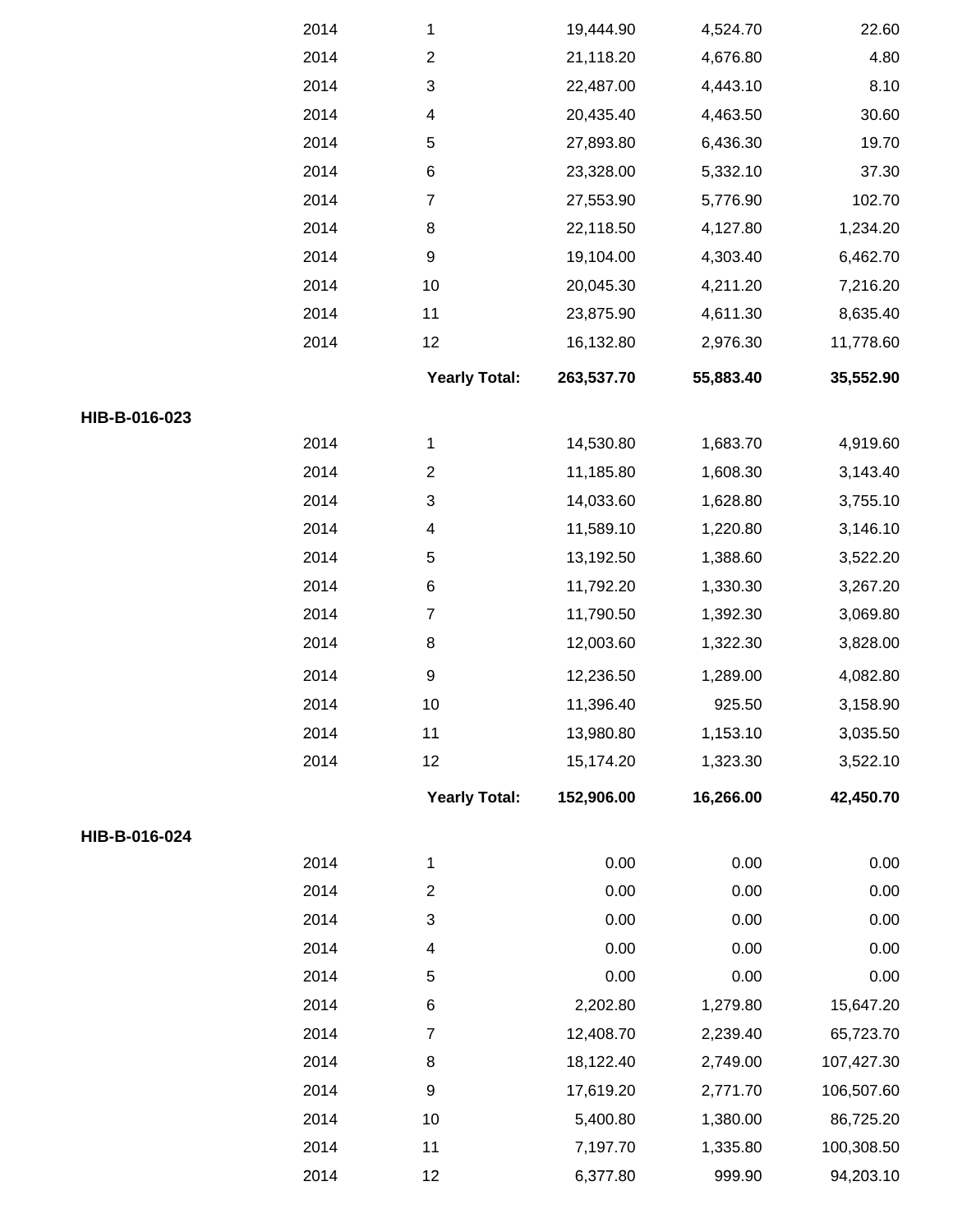|               | 2014 | 1                         | 19,444.90  | 4,524.70  | 22.60      |
|---------------|------|---------------------------|------------|-----------|------------|
|               | 2014 | $\boldsymbol{2}$          | 21,118.20  | 4,676.80  | 4.80       |
|               | 2014 | $\ensuremath{\mathsf{3}}$ | 22,487.00  | 4,443.10  | 8.10       |
|               | 2014 | 4                         | 20,435.40  | 4,463.50  | 30.60      |
|               | 2014 | 5                         | 27,893.80  | 6,436.30  | 19.70      |
|               | 2014 | 6                         | 23,328.00  | 5,332.10  | 37.30      |
|               | 2014 | $\boldsymbol{7}$          | 27,553.90  | 5,776.90  | 102.70     |
|               | 2014 | $\bf 8$                   | 22,118.50  | 4,127.80  | 1,234.20   |
|               | 2014 | $\boldsymbol{9}$          | 19,104.00  | 4,303.40  | 6,462.70   |
|               | 2014 | 10                        | 20,045.30  | 4,211.20  | 7,216.20   |
|               | 2014 | 11                        | 23,875.90  | 4,611.30  | 8,635.40   |
|               | 2014 | 12                        | 16,132.80  | 2,976.30  | 11,778.60  |
|               |      | <b>Yearly Total:</b>      | 263,537.70 | 55,883.40 | 35,552.90  |
| HIB-B-016-023 |      |                           |            |           |            |
|               | 2014 | 1                         | 14,530.80  | 1,683.70  | 4,919.60   |
|               | 2014 | $\overline{c}$            | 11,185.80  | 1,608.30  | 3,143.40   |
|               | 2014 | $\ensuremath{\mathsf{3}}$ | 14,033.60  | 1,628.80  | 3,755.10   |
|               | 2014 | $\overline{4}$            | 11,589.10  | 1,220.80  | 3,146.10   |
|               | 2014 | $\mathbf 5$               | 13,192.50  | 1,388.60  | 3,522.20   |
|               | 2014 | $\,6$                     | 11,792.20  | 1,330.30  | 3,267.20   |
|               | 2014 | $\boldsymbol{7}$          | 11,790.50  | 1,392.30  | 3,069.80   |
|               | 2014 | $\,8\,$                   | 12,003.60  | 1,322.30  | 3,828.00   |
|               | 2014 | $\boldsymbol{9}$          | 12,236.50  | 1,289.00  | 4,082.80   |
|               | 2014 | 10                        | 11,396.40  | 925.50    | 3,158.90   |
|               | 2014 | 11                        | 13,980.80  | 1,153.10  | 3,035.50   |
|               | 2014 | 12                        | 15,174.20  | 1,323.30  | 3,522.10   |
|               |      | <b>Yearly Total:</b>      | 152,906.00 | 16,266.00 | 42,450.70  |
| HIB-B-016-024 |      |                           |            |           |            |
|               | 2014 | 1                         | 0.00       | 0.00      | 0.00       |
|               | 2014 | $\sqrt{2}$                | 0.00       | 0.00      | 0.00       |
|               | 2014 | 3                         | 0.00       | 0.00      | 0.00       |
|               | 2014 | $\overline{4}$            | 0.00       | 0.00      | 0.00       |
|               | 2014 | $\mathbf 5$               | 0.00       | 0.00      | 0.00       |
|               | 2014 | $\,6$                     | 2,202.80   | 1,279.80  | 15,647.20  |
|               | 2014 | $\overline{7}$            | 12,408.70  | 2,239.40  | 65,723.70  |
|               | 2014 | 8                         | 18,122.40  | 2,749.00  | 107,427.30 |
|               | 2014 | $\boldsymbol{9}$          | 17,619.20  | 2,771.70  | 106,507.60 |
|               | 2014 | 10                        | 5,400.80   | 1,380.00  | 86,725.20  |
|               | 2014 | 11                        | 7,197.70   | 1,335.80  | 100,308.50 |
|               | 2014 | 12                        | 6,377.80   | 999.90    | 94,203.10  |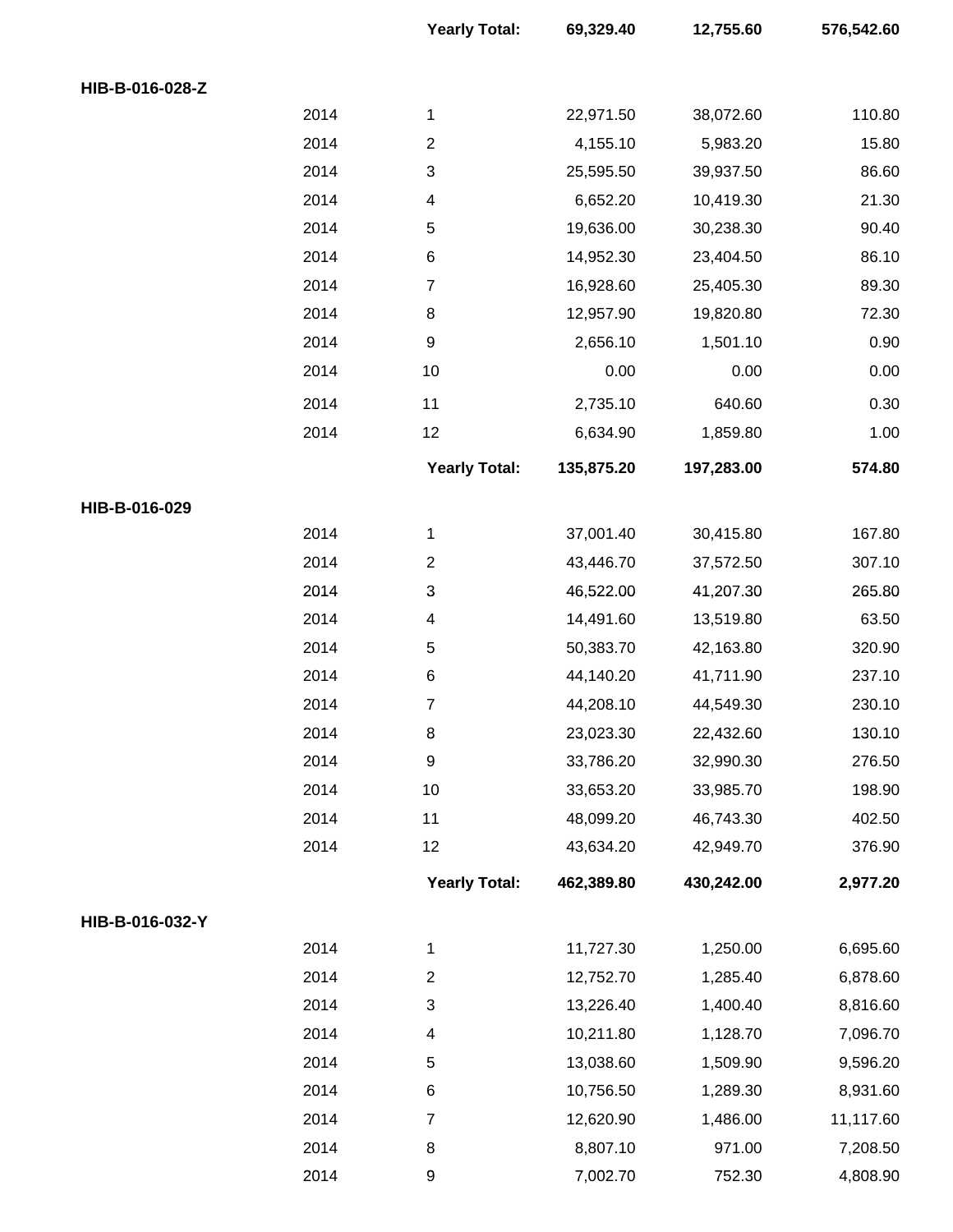|                 |      | <b>Yearly Total:</b>     | 69,329.40  | 12,755.60  | 576,542.60 |
|-----------------|------|--------------------------|------------|------------|------------|
| HIB-B-016-028-Z |      |                          |            |            |            |
|                 | 2014 | 1                        | 22,971.50  | 38,072.60  | 110.80     |
|                 | 2014 | $\overline{c}$           | 4,155.10   | 5,983.20   | 15.80      |
|                 | 2014 | 3                        | 25,595.50  | 39,937.50  | 86.60      |
|                 | 2014 | $\overline{\mathcal{A}}$ | 6,652.20   | 10,419.30  | 21.30      |
|                 | 2014 | $\,$ 5 $\,$              | 19,636.00  | 30,238.30  | 90.40      |
|                 | 2014 | $\,6$                    | 14,952.30  | 23,404.50  | 86.10      |
|                 | 2014 | $\overline{7}$           | 16,928.60  | 25,405.30  | 89.30      |
|                 | 2014 | $\,8\,$                  | 12,957.90  | 19,820.80  | 72.30      |
|                 | 2014 | $\boldsymbol{9}$         | 2,656.10   | 1,501.10   | 0.90       |
|                 | 2014 | 10                       | 0.00       | 0.00       | 0.00       |
|                 | 2014 | 11                       | 2,735.10   | 640.60     | 0.30       |
|                 | 2014 | 12                       | 6,634.90   | 1,859.80   | 1.00       |
|                 |      | <b>Yearly Total:</b>     | 135,875.20 | 197,283.00 | 574.80     |
| HIB-B-016-029   |      |                          |            |            |            |
|                 | 2014 | 1                        | 37,001.40  | 30,415.80  | 167.80     |
|                 | 2014 | $\overline{c}$           | 43,446.70  | 37,572.50  | 307.10     |
|                 | 2014 | $\mathsf 3$              | 46,522.00  | 41,207.30  | 265.80     |
|                 | 2014 | $\overline{\mathcal{A}}$ | 14,491.60  | 13,519.80  | 63.50      |
|                 | 2014 | $\,$ 5 $\,$              | 50,383.70  | 42,163.80  | 320.90     |
|                 | 2014 | $\,6$                    | 44,140.20  | 41,711.90  | 237.10     |
|                 | 2014 | 7                        | 44,208.10  | 44,549.30  | 230.10     |
|                 | 2014 | 8                        | 23,023.30  | 22,432.60  | 130.10     |
|                 | 2014 | $\boldsymbol{9}$         | 33,786.20  | 32,990.30  | 276.50     |
|                 | 2014 | 10                       | 33,653.20  | 33,985.70  | 198.90     |
|                 | 2014 | 11                       | 48,099.20  | 46,743.30  | 402.50     |
|                 | 2014 | 12                       | 43,634.20  | 42,949.70  | 376.90     |
|                 |      | <b>Yearly Total:</b>     | 462,389.80 | 430,242.00 | 2,977.20   |
| HIB-B-016-032-Y |      |                          |            |            |            |
|                 | 2014 | 1                        | 11,727.30  | 1,250.00   | 6,695.60   |
|                 | 2014 | $\sqrt{2}$               | 12,752.70  | 1,285.40   | 6,878.60   |
|                 | 2014 | 3                        | 13,226.40  | 1,400.40   | 8,816.60   |
|                 | 2014 | $\overline{\mathbf{4}}$  | 10,211.80  | 1,128.70   | 7,096.70   |
|                 | 2014 | 5                        | 13,038.60  | 1,509.90   | 9,596.20   |
|                 | 2014 | $\,6$                    | 10,756.50  | 1,289.30   | 8,931.60   |
|                 | 2014 | $\overline{7}$           | 12,620.90  | 1,486.00   | 11,117.60  |
|                 | 2014 | $\bf 8$                  | 8,807.10   | 971.00     | 7,208.50   |
|                 | 2014 | 9                        | 7,002.70   | 752.30     | 4,808.90   |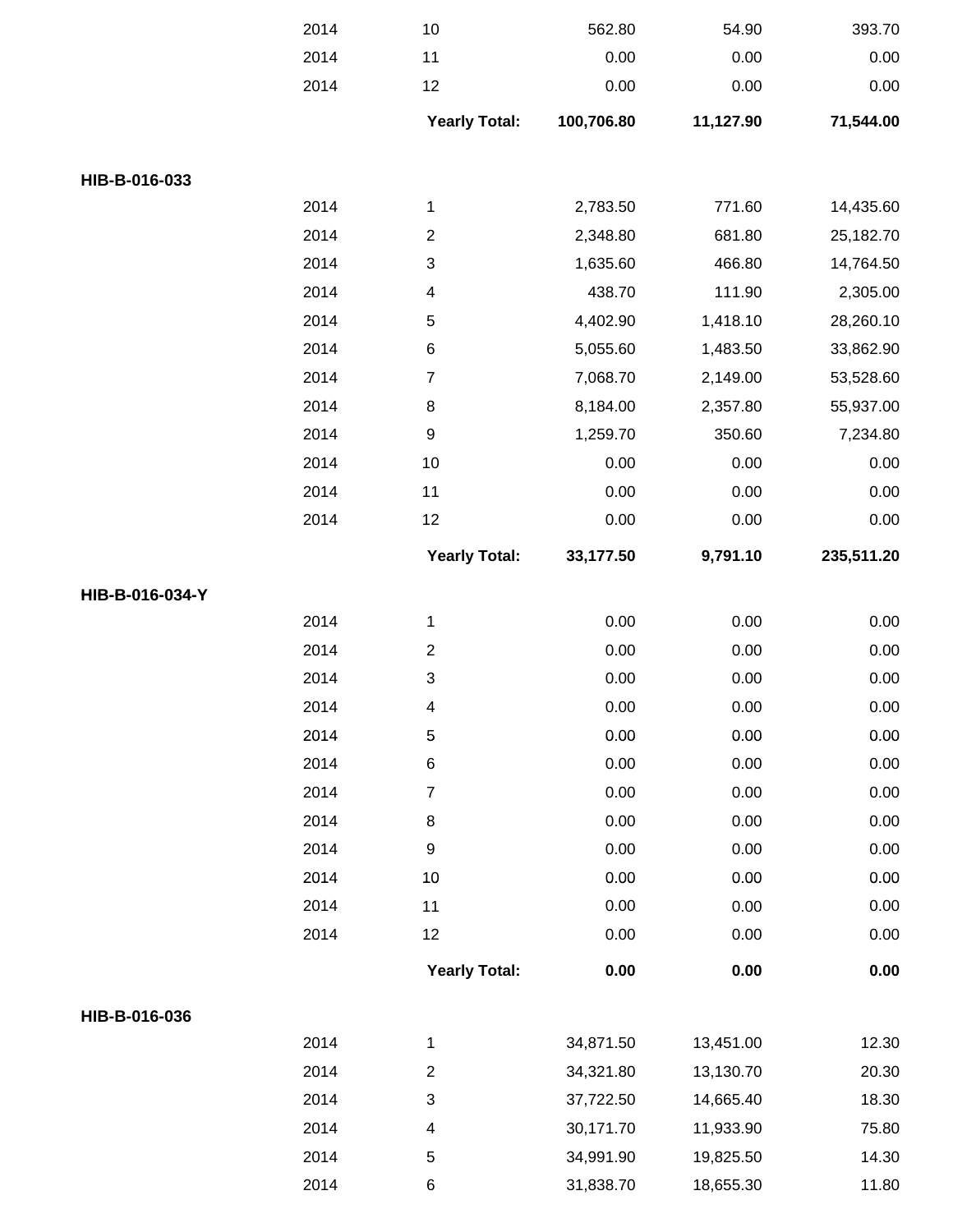|                 | 2014 | $10$                      | 562.80     | 54.90     | 393.70     |
|-----------------|------|---------------------------|------------|-----------|------------|
|                 | 2014 | 11                        | 0.00       | 0.00      | 0.00       |
|                 | 2014 | 12                        | 0.00       | 0.00      | 0.00       |
|                 |      | <b>Yearly Total:</b>      | 100,706.80 | 11,127.90 | 71,544.00  |
| HIB-B-016-033   |      |                           |            |           |            |
|                 | 2014 | $\mathbf 1$               | 2,783.50   | 771.60    | 14,435.60  |
|                 | 2014 | $\overline{c}$            | 2,348.80   | 681.80    | 25,182.70  |
|                 | 2014 | 3                         | 1,635.60   | 466.80    | 14,764.50  |
|                 | 2014 | 4                         | 438.70     | 111.90    | 2,305.00   |
|                 | 2014 | 5                         | 4,402.90   | 1,418.10  | 28,260.10  |
|                 | 2014 | 6                         | 5,055.60   | 1,483.50  | 33,862.90  |
|                 | 2014 | $\boldsymbol{7}$          | 7,068.70   | 2,149.00  | 53,528.60  |
|                 | 2014 | 8                         | 8,184.00   | 2,357.80  | 55,937.00  |
|                 | 2014 | $\boldsymbol{9}$          | 1,259.70   | 350.60    | 7,234.80   |
|                 | 2014 | $10$                      | 0.00       | 0.00      | 0.00       |
|                 | 2014 | 11                        | 0.00       | 0.00      | 0.00       |
|                 | 2014 | 12                        | 0.00       | 0.00      | 0.00       |
|                 |      | <b>Yearly Total:</b>      | 33,177.50  | 9,791.10  | 235,511.20 |
| HIB-B-016-034-Y |      |                           |            |           |            |
|                 | 2014 | $\mathbf 1$               | 0.00       | 0.00      | 0.00       |
|                 | 2014 | $\boldsymbol{2}$          | 0.00       | 0.00      | 0.00       |
|                 | 2014 | $\ensuremath{\mathsf{3}}$ | 0.00       | 0.00      | 0.00       |
|                 | 2014 | 4                         | 0.00       | 0.00      | 0.00       |
|                 | 2014 | $\mathbf 5$               | 0.00       | 0.00      | 0.00       |
|                 | 2014 | $\,6$                     | 0.00       | 0.00      | 0.00       |
|                 | 2014 | $\overline{\mathbf{7}}$   | 0.00       | 0.00      | 0.00       |
|                 | 2014 | $\bf 8$                   | 0.00       | 0.00      | 0.00       |
|                 | 2014 | 9                         | 0.00       | 0.00      | 0.00       |
|                 | 2014 | 10                        | 0.00       | 0.00      | 0.00       |
|                 | 2014 | 11                        | 0.00       | 0.00      | 0.00       |
|                 | 2014 | 12                        | 0.00       | 0.00      | 0.00       |
|                 |      | <b>Yearly Total:</b>      | 0.00       | 0.00      | 0.00       |
| HIB-B-016-036   |      |                           |            |           |            |
|                 | 2014 | $\mathbf 1$               | 34,871.50  | 13,451.00 | 12.30      |
|                 | 2014 | $\mathbf{2}$              | 34,321.80  | 13,130.70 | 20.30      |
|                 | 2014 | $\ensuremath{\mathsf{3}}$ | 37,722.50  | 14,665.40 | 18.30      |
|                 | 2014 | 4                         | 30,171.70  | 11,933.90 | 75.80      |
|                 | 2014 | 5                         | 34,991.90  | 19,825.50 | 14.30      |
|                 | 2014 | 6                         | 31,838.70  | 18,655.30 | 11.80      |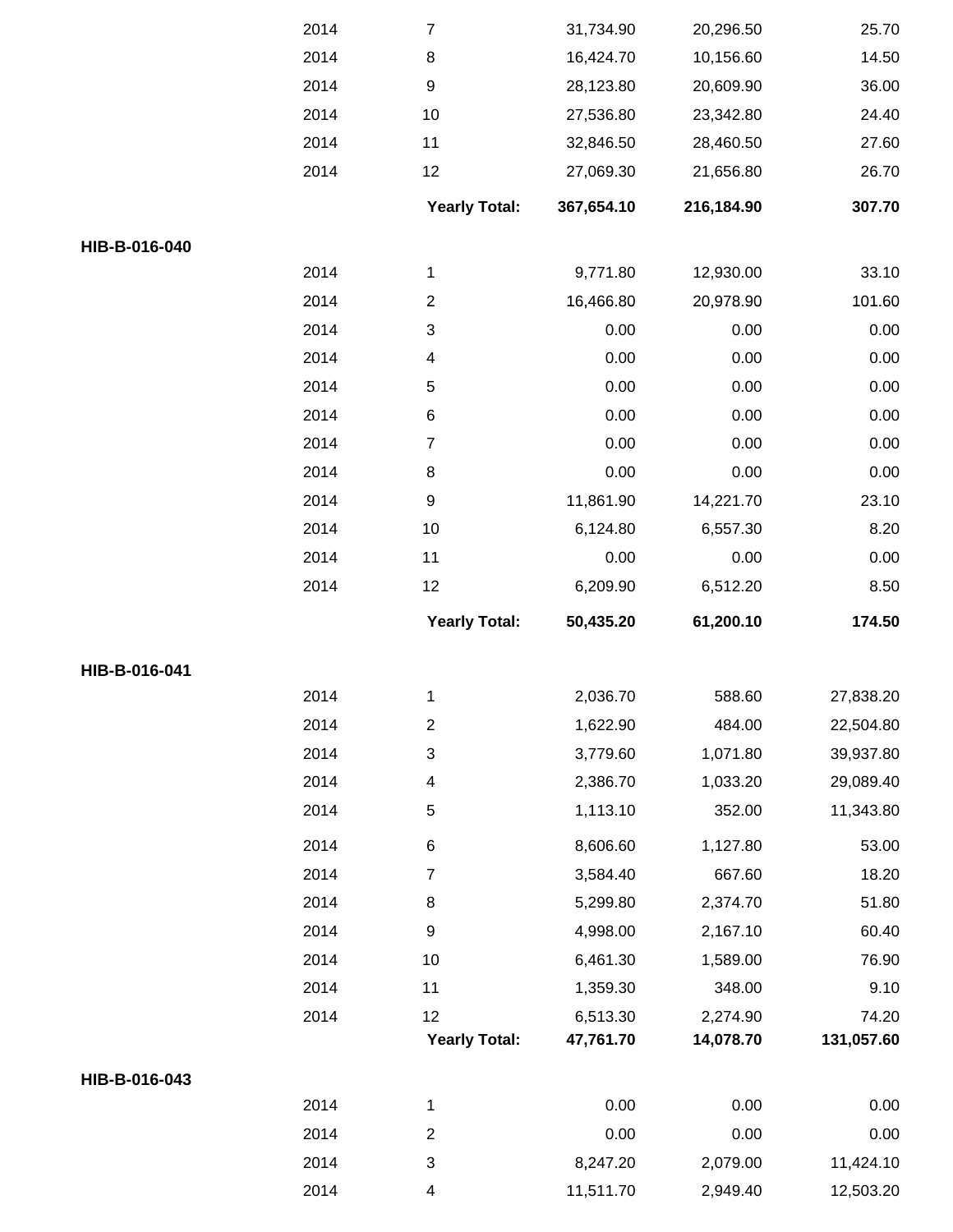|               | 2014         | $\boldsymbol{7}$          | 31,734.90             | 20,296.50            | 25.70                  |
|---------------|--------------|---------------------------|-----------------------|----------------------|------------------------|
|               | 2014         | $\bf 8$                   | 16,424.70             | 10,156.60            | 14.50                  |
|               | 2014         | $\boldsymbol{9}$          | 28,123.80             | 20,609.90            | 36.00                  |
|               | 2014         | 10                        | 27,536.80             | 23,342.80            | 24.40                  |
|               | 2014         | 11                        | 32,846.50             | 28,460.50            | 27.60                  |
|               | 2014         | 12                        | 27,069.30             | 21,656.80            | 26.70                  |
|               |              | <b>Yearly Total:</b>      | 367,654.10            | 216,184.90           | 307.70                 |
| HIB-B-016-040 |              |                           |                       |                      |                        |
|               | 2014         | 1                         | 9,771.80              | 12,930.00            | 33.10                  |
|               | 2014         | $\mathbf 2$               | 16,466.80             | 20,978.90            | 101.60                 |
|               | 2014         | 3                         | 0.00                  | 0.00                 | 0.00                   |
|               | 2014         | 4                         | 0.00                  | 0.00                 | 0.00                   |
|               | 2014         | 5                         | 0.00                  | 0.00                 | 0.00                   |
|               | 2014         | $\,6$                     | 0.00                  | 0.00                 | 0.00                   |
|               | 2014         | $\boldsymbol{7}$          | 0.00                  | 0.00                 | 0.00                   |
|               | 2014         | $\bf 8$                   | 0.00                  | 0.00                 | 0.00                   |
|               | 2014         | $\boldsymbol{9}$          | 11,861.90             | 14,221.70            | 23.10                  |
|               | 2014         | $10$                      | 6,124.80              | 6,557.30             | 8.20                   |
|               | 2014         | 11                        | 0.00                  | 0.00                 | 0.00                   |
|               | 2014         | 12                        | 6,209.90              | 6,512.20             | 8.50                   |
|               |              | <b>Yearly Total:</b>      | 50,435.20             | 61,200.10            | 174.50                 |
|               |              |                           |                       |                      |                        |
| HIB-B-016-041 |              |                           |                       |                      |                        |
|               | 2014         | 1                         | 2,036.70              | 588.60               | 27,838.20              |
|               | 2014         | $\overline{2}$            | 1,622.90              | 484.00               | 22,504.80              |
|               | 2014         | $\ensuremath{\mathsf{3}}$ | 3,779.60              | 1,071.80             | 39,937.80              |
|               | 2014         | 4                         | 2,386.70              | 1,033.20             | 29,089.40              |
|               | 2014         | 5                         | 1,113.10              | 352.00               | 11,343.80              |
|               | 2014         | $\,6$                     | 8,606.60              | 1,127.80             | 53.00                  |
|               | 2014         | $\overline{7}$            | 3,584.40              | 667.60               | 18.20                  |
|               | 2014         | $\,8\,$                   | 5,299.80              | 2,374.70             | 51.80                  |
|               | 2014         | $\boldsymbol{9}$          | 4,998.00              | 2,167.10             | 60.40                  |
|               | 2014         | $10$                      | 6,461.30              | 1,589.00             |                        |
|               | 2014         | 11                        | 1,359.30              | 348.00               | 76.90<br>9.10          |
|               | 2014         | 12                        | 6,513.30              | 2,274.90             | 74.20                  |
|               |              | <b>Yearly Total:</b>      | 47,761.70             | 14,078.70            | 131,057.60             |
| HIB-B-016-043 |              |                           |                       |                      |                        |
|               | 2014         | $\mathbf 1$               | 0.00                  | 0.00                 | 0.00                   |
|               | 2014         | $\overline{\mathbf{c}}$   | 0.00                  | 0.00                 | 0.00                   |
|               | 2014<br>2014 | 3<br>4                    | 8,247.20<br>11,511.70 | 2,079.00<br>2,949.40 | 11,424.10<br>12,503.20 |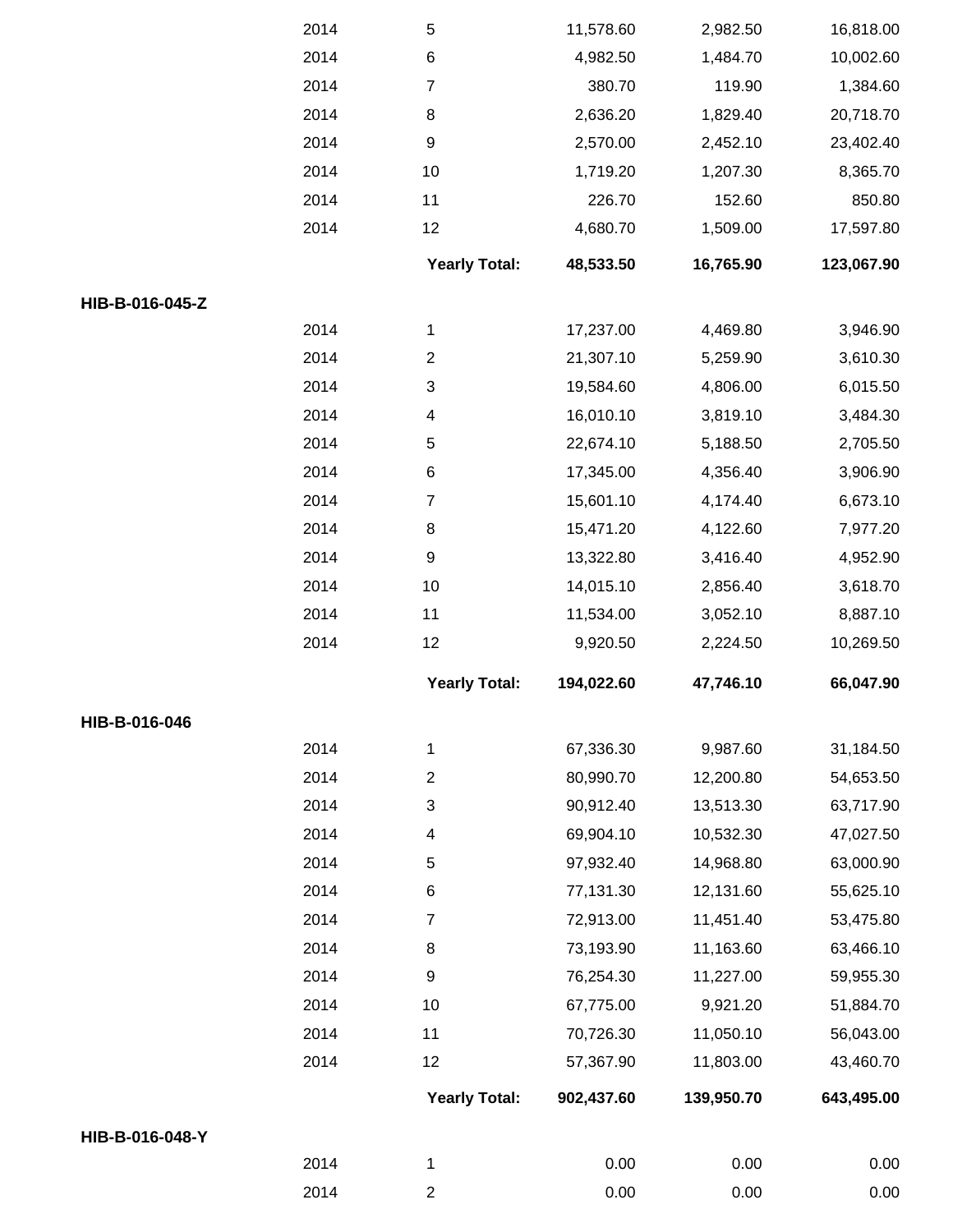|                 | 2014 | 5                         | 11,578.60  | 2,982.50   | 16,818.00  |
|-----------------|------|---------------------------|------------|------------|------------|
|                 | 2014 | $\,6$                     | 4,982.50   | 1,484.70   | 10,002.60  |
|                 | 2014 | $\overline{7}$            | 380.70     | 119.90     | 1,384.60   |
|                 | 2014 | 8                         | 2,636.20   | 1,829.40   | 20,718.70  |
|                 | 2014 | $\boldsymbol{9}$          | 2,570.00   | 2,452.10   | 23,402.40  |
|                 | 2014 | 10                        | 1,719.20   | 1,207.30   | 8,365.70   |
|                 | 2014 | 11                        | 226.70     | 152.60     | 850.80     |
|                 | 2014 | 12                        | 4,680.70   | 1,509.00   | 17,597.80  |
|                 |      | <b>Yearly Total:</b>      | 48,533.50  | 16,765.90  | 123,067.90 |
| HIB-B-016-045-Z |      |                           |            |            |            |
|                 | 2014 | 1                         | 17,237.00  | 4,469.80   | 3,946.90   |
|                 | 2014 | $\boldsymbol{2}$          | 21,307.10  | 5,259.90   | 3,610.30   |
|                 | 2014 | $\ensuremath{\mathsf{3}}$ | 19,584.60  | 4,806.00   | 6,015.50   |
|                 | 2014 | 4                         | 16,010.10  | 3,819.10   | 3,484.30   |
|                 | 2014 | 5                         | 22,674.10  | 5,188.50   | 2,705.50   |
|                 | 2014 | $\,6$                     | 17,345.00  | 4,356.40   | 3,906.90   |
|                 | 2014 | $\boldsymbol{7}$          | 15,601.10  | 4,174.40   | 6,673.10   |
|                 | 2014 | 8                         | 15,471.20  | 4,122.60   | 7,977.20   |
|                 | 2014 | $\boldsymbol{9}$          | 13,322.80  | 3,416.40   | 4,952.90   |
|                 | 2014 | 10                        | 14,015.10  | 2,856.40   | 3,618.70   |
|                 | 2014 | 11                        | 11,534.00  | 3,052.10   | 8,887.10   |
|                 | 2014 | 12                        | 9,920.50   | 2,224.50   | 10,269.50  |
|                 |      | <b>Yearly Total:</b>      | 194,022.60 | 47,746.10  | 66,047.90  |
| HIB-B-016-046   |      |                           |            |            |            |
|                 | 2014 | 1                         | 67,336.30  | 9,987.60   | 31,184.50  |
|                 | 2014 | $\overline{c}$            | 80,990.70  | 12,200.80  | 54,653.50  |
|                 | 2014 | 3                         | 90,912.40  | 13,513.30  | 63,717.90  |
|                 | 2014 | 4                         | 69,904.10  | 10,532.30  | 47,027.50  |
|                 | 2014 | 5                         | 97,932.40  | 14,968.80  | 63,000.90  |
|                 | 2014 | 6                         | 77,131.30  | 12,131.60  | 55,625.10  |
|                 | 2014 | $\overline{7}$            | 72,913.00  | 11,451.40  | 53,475.80  |
|                 | 2014 | 8                         | 73,193.90  | 11,163.60  | 63,466.10  |
|                 | 2014 | 9                         | 76,254.30  | 11,227.00  | 59,955.30  |
|                 | 2014 | 10                        | 67,775.00  | 9,921.20   | 51,884.70  |
|                 | 2014 | 11                        | 70,726.30  | 11,050.10  | 56,043.00  |
|                 | 2014 | 12                        | 57,367.90  | 11,803.00  | 43,460.70  |
|                 |      | <b>Yearly Total:</b>      | 902,437.60 | 139,950.70 | 643,495.00 |
| HIB-B-016-048-Y |      |                           |            |            |            |
|                 | 2014 | 1                         | 0.00       | 0.00       | 0.00       |
|                 | 2014 | $\overline{c}$            | 0.00       | 0.00       | 0.00       |
|                 |      |                           |            |            |            |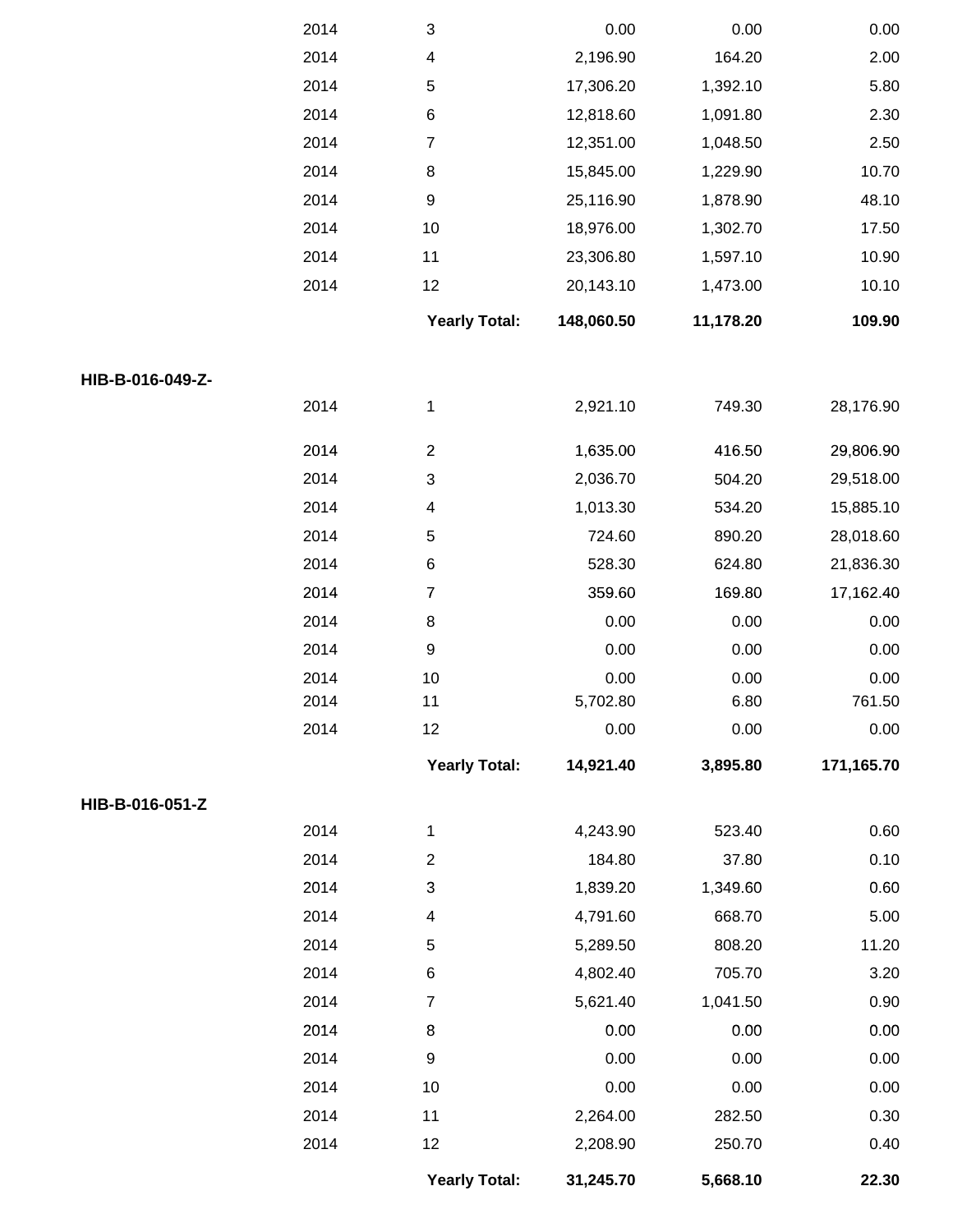|                  | 2014 | 3                    | 0.00       | 0.00      | 0.00       |
|------------------|------|----------------------|------------|-----------|------------|
|                  | 2014 | 4                    | 2,196.90   | 164.20    | 2.00       |
|                  | 2014 | $\,$ 5 $\,$          | 17,306.20  | 1,392.10  | 5.80       |
|                  | 2014 | $\,6$                | 12,818.60  | 1,091.80  | 2.30       |
|                  | 2014 | $\overline{7}$       | 12,351.00  | 1,048.50  | 2.50       |
|                  | 2014 | $\bf 8$              | 15,845.00  | 1,229.90  | 10.70      |
|                  | 2014 | $\boldsymbol{9}$     | 25,116.90  | 1,878.90  | 48.10      |
|                  | 2014 | 10                   | 18,976.00  | 1,302.70  | 17.50      |
|                  | 2014 | 11                   | 23,306.80  | 1,597.10  | 10.90      |
|                  | 2014 | 12                   | 20,143.10  | 1,473.00  | 10.10      |
|                  |      | <b>Yearly Total:</b> | 148,060.50 | 11,178.20 | 109.90     |
| HIB-B-016-049-Z- |      |                      |            |           |            |
|                  | 2014 | 1                    | 2,921.10   | 749.30    | 28,176.90  |
|                  | 2014 | $\overline{c}$       | 1,635.00   | 416.50    | 29,806.90  |
|                  | 2014 | 3                    | 2,036.70   | 504.20    | 29,518.00  |
|                  | 2014 | 4                    | 1,013.30   | 534.20    | 15,885.10  |
|                  | 2014 | 5                    | 724.60     | 890.20    | 28,018.60  |
|                  | 2014 | $\,6$                | 528.30     | 624.80    | 21,836.30  |
|                  | 2014 | $\boldsymbol{7}$     | 359.60     | 169.80    | 17,162.40  |
|                  | 2014 | $\bf 8$              | 0.00       | 0.00      | 0.00       |
|                  | 2014 | $\boldsymbol{9}$     | 0.00       | 0.00      | 0.00       |
|                  | 2014 | 10                   | 0.00       | 0.00      | 0.00       |
|                  | 2014 | 11                   | 5,702.80   | 6.80      | 761.50     |
|                  | 2014 | 12                   | 0.00       | 0.00      | 0.00       |
|                  |      | <b>Yearly Total:</b> | 14,921.40  | 3,895.80  | 171,165.70 |
| HIB-B-016-051-Z  |      |                      |            |           |            |
|                  | 2014 | $\mathbf 1$          | 4,243.90   | 523.40    | 0.60       |
|                  | 2014 | $\sqrt{2}$           | 184.80     | 37.80     | 0.10       |
|                  | 2014 | 3                    | 1,839.20   | 1,349.60  | 0.60       |
|                  | 2014 | 4                    | 4,791.60   | 668.70    | 5.00       |
|                  | 2014 | 5                    | 5,289.50   | 808.20    | 11.20      |
|                  | 2014 | $\,6$                | 4,802.40   | 705.70    | 3.20       |
|                  | 2014 | $\boldsymbol{7}$     | 5,621.40   | 1,041.50  | 0.90       |
|                  | 2014 | $\bf 8$              | 0.00       | 0.00      | 0.00       |
|                  | 2014 | $\boldsymbol{9}$     | 0.00       | 0.00      | 0.00       |
|                  | 2014 | $10$                 | 0.00       | 0.00      | 0.00       |
|                  | 2014 | 11                   | 2,264.00   | 282.50    | 0.30       |
|                  | 2014 | 12                   | 2,208.90   | 250.70    | 0.40       |
|                  |      | <b>Yearly Total:</b> | 31,245.70  | 5,668.10  | 22.30      |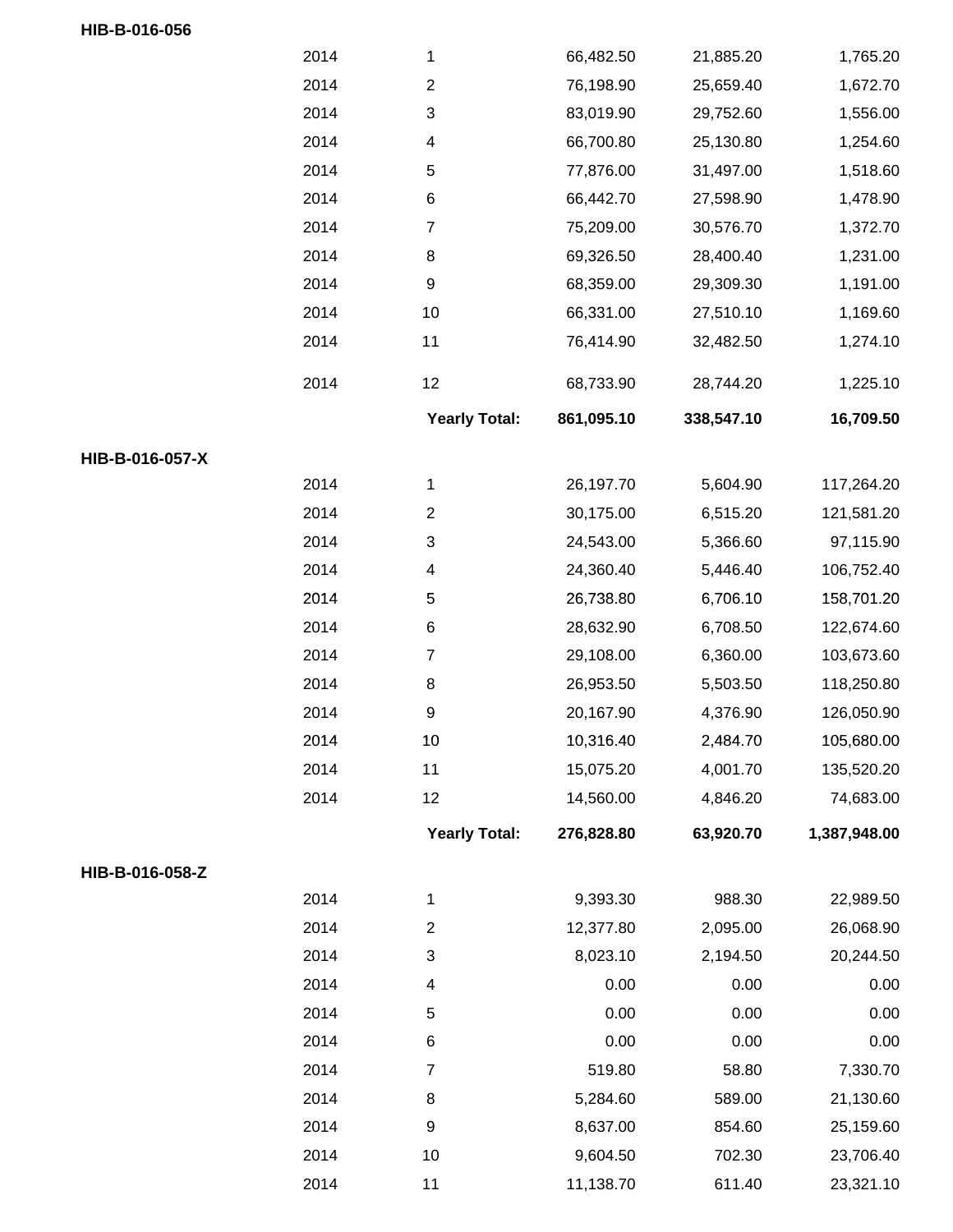|                 | 2014 | $\mathbf{1}$         | 66,482.50  | 21,885.20  | 1,765.20     |
|-----------------|------|----------------------|------------|------------|--------------|
|                 | 2014 | $\overline{c}$       | 76,198.90  | 25,659.40  | 1,672.70     |
|                 | 2014 | 3                    | 83,019.90  | 29,752.60  | 1,556.00     |
|                 | 2014 | 4                    | 66,700.80  | 25,130.80  | 1,254.60     |
|                 | 2014 | 5                    | 77,876.00  | 31,497.00  | 1,518.60     |
|                 | 2014 | $\,6$                | 66,442.70  | 27,598.90  | 1,478.90     |
|                 | 2014 | $\boldsymbol{7}$     | 75,209.00  | 30,576.70  | 1,372.70     |
|                 | 2014 | $\,8\,$              | 69,326.50  | 28,400.40  | 1,231.00     |
|                 | 2014 | $\boldsymbol{9}$     | 68,359.00  | 29,309.30  | 1,191.00     |
|                 | 2014 | 10                   | 66,331.00  | 27,510.10  | 1,169.60     |
|                 | 2014 | 11                   | 76,414.90  | 32,482.50  | 1,274.10     |
|                 | 2014 | 12                   | 68,733.90  | 28,744.20  | 1,225.10     |
|                 |      | <b>Yearly Total:</b> | 861,095.10 | 338,547.10 | 16,709.50    |
| HIB-B-016-057-X |      |                      |            |            |              |
|                 | 2014 | 1                    | 26,197.70  | 5,604.90   | 117,264.20   |
|                 | 2014 | $\overline{2}$       | 30,175.00  | 6,515.20   | 121,581.20   |
|                 | 2014 | 3                    | 24,543.00  | 5,366.60   | 97,115.90    |
|                 | 2014 | 4                    | 24,360.40  | 5,446.40   | 106,752.40   |
|                 | 2014 | 5                    | 26,738.80  | 6,706.10   | 158,701.20   |
|                 | 2014 | $\,6$                | 28,632.90  | 6,708.50   | 122,674.60   |
|                 | 2014 | $\boldsymbol{7}$     | 29,108.00  | 6,360.00   | 103,673.60   |
|                 | 2014 | 8                    | 26,953.50  | 5,503.50   | 118,250.80   |
|                 | 2014 | 9                    | 20,167.90  | 4,376.90   | 126,050.90   |
|                 | 2014 | 10                   | 10,316.40  | 2,484.70   | 105,680.00   |
|                 | 2014 | 11                   | 15,075.20  | 4,001.70   | 135,520.20   |
|                 | 2014 | 12                   | 14,560.00  | 4,846.20   | 74,683.00    |
|                 |      | <b>Yearly Total:</b> | 276,828.80 | 63,920.70  | 1,387,948.00 |
| HIB-B-016-058-Z |      |                      |            |            |              |
|                 | 2014 | $\mathbf{1}$         | 9,393.30   | 988.30     | 22,989.50    |
|                 | 2014 | $\boldsymbol{2}$     | 12,377.80  | 2,095.00   | 26,068.90    |
|                 | 2014 | 3                    | 8,023.10   | 2,194.50   | 20,244.50    |
|                 | 2014 | 4                    | 0.00       | 0.00       | 0.00         |
|                 | 2014 | 5                    | 0.00       | 0.00       | 0.00         |
|                 | 2014 | $\,6$                | 0.00       | 0.00       | 0.00         |
|                 | 2014 | $\overline{7}$       | 519.80     | 58.80      | 7,330.70     |
|                 | 2014 | $\,8\,$              | 5,284.60   | 589.00     | 21,130.60    |
|                 | 2014 | $\boldsymbol{9}$     | 8,637.00   | 854.60     | 25,159.60    |
|                 | 2014 | 10                   | 9,604.50   | 702.30     | 23,706.40    |
|                 | 2014 | 11                   | 11,138.70  | 611.40     | 23,321.10    |

**HIB-B-016-056**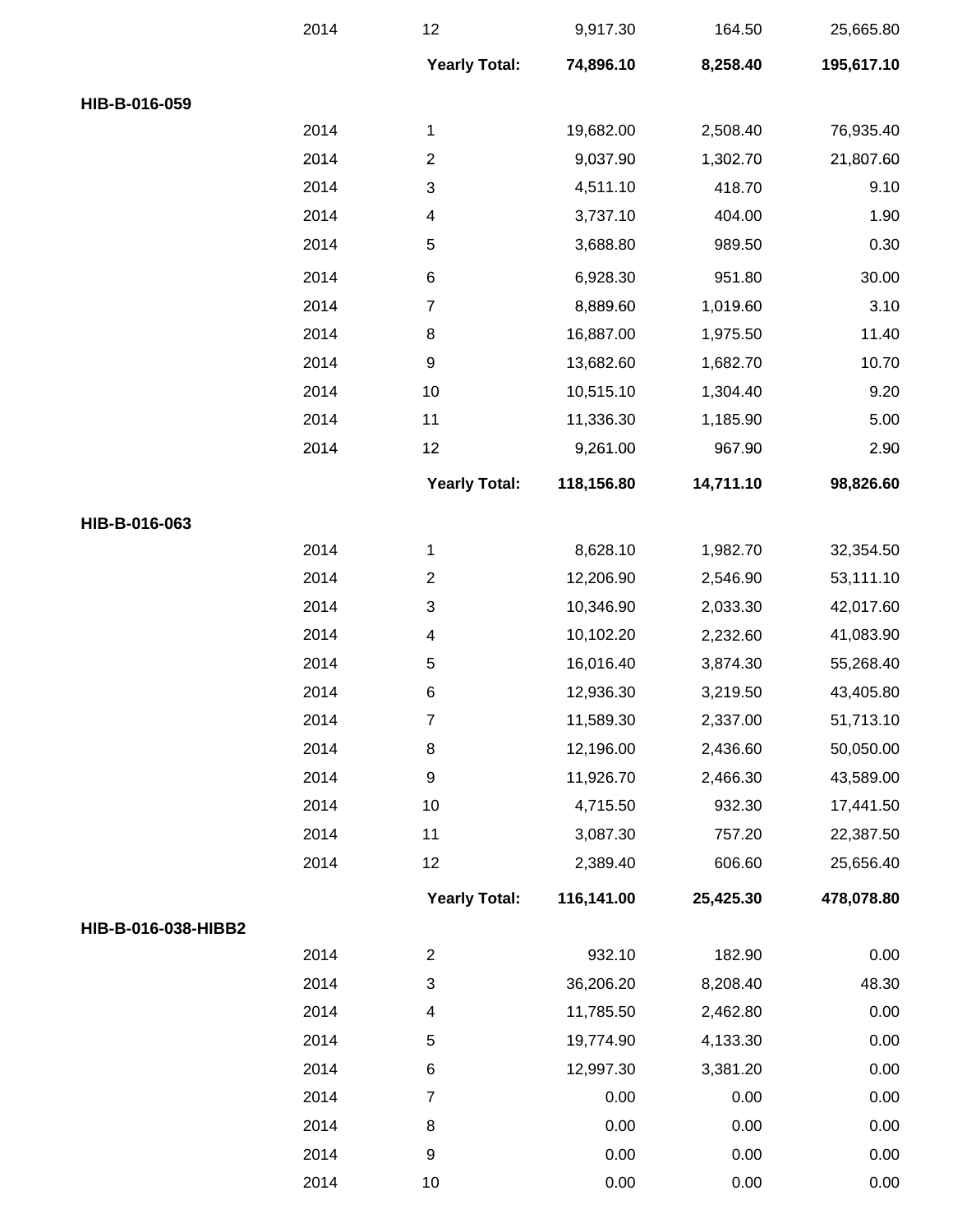|                     | 2014 | 12                       | 9,917.30   | 164.50    | 25,665.80  |
|---------------------|------|--------------------------|------------|-----------|------------|
|                     |      | <b>Yearly Total:</b>     | 74,896.10  | 8,258.40  | 195,617.10 |
| HIB-B-016-059       |      |                          |            |           |            |
|                     | 2014 | 1                        | 19,682.00  | 2,508.40  | 76,935.40  |
|                     | 2014 | $\overline{2}$           | 9,037.90   | 1,302.70  | 21,807.60  |
|                     | 2014 | 3                        | 4,511.10   | 418.70    | 9.10       |
|                     | 2014 | 4                        | 3,737.10   | 404.00    | 1.90       |
|                     | 2014 | 5                        | 3,688.80   | 989.50    | 0.30       |
|                     | 2014 | $\,6$                    | 6,928.30   | 951.80    | 30.00      |
|                     | 2014 | $\overline{7}$           | 8,889.60   | 1,019.60  | 3.10       |
|                     | 2014 | $\bf 8$                  | 16,887.00  | 1,975.50  | 11.40      |
|                     | 2014 | $\boldsymbol{9}$         | 13,682.60  | 1,682.70  | 10.70      |
|                     | 2014 | 10                       | 10,515.10  | 1,304.40  | 9.20       |
|                     | 2014 | 11                       | 11,336.30  | 1,185.90  | 5.00       |
|                     | 2014 | 12                       | 9,261.00   | 967.90    | 2.90       |
|                     |      | <b>Yearly Total:</b>     | 118,156.80 | 14,711.10 | 98,826.60  |
| HIB-B-016-063       |      |                          |            |           |            |
|                     | 2014 | 1                        | 8,628.10   | 1,982.70  | 32,354.50  |
|                     | 2014 | $\boldsymbol{2}$         | 12,206.90  | 2,546.90  | 53,111.10  |
|                     | 2014 | 3                        | 10,346.90  | 2,033.30  | 42,017.60  |
|                     | 2014 | $\overline{\mathcal{A}}$ | 10,102.20  | 2,232.60  | 41,083.90  |
|                     | 2014 | 5                        | 16,016.40  | 3,874.30  | 55,268.40  |
|                     | 2014 | $\,6$                    | 12,936.30  | 3,219.50  | 43,405.80  |
|                     | 2014 | $\overline{7}$           | 11,589.30  | 2,337.00  | 51,713.10  |
|                     | 2014 | $\bf 8$                  | 12,196.00  | 2,436.60  | 50,050.00  |
|                     | 2014 | $\boldsymbol{9}$         | 11,926.70  | 2,466.30  | 43,589.00  |
|                     | 2014 | 10                       | 4,715.50   | 932.30    | 17,441.50  |
|                     | 2014 | 11                       | 3,087.30   | 757.20    | 22,387.50  |
|                     | 2014 | 12                       | 2,389.40   | 606.60    | 25,656.40  |
|                     |      | <b>Yearly Total:</b>     | 116,141.00 | 25,425.30 | 478,078.80 |
| HIB-B-016-038-HIBB2 |      |                          |            |           |            |
|                     | 2014 | $\overline{2}$           | 932.10     | 182.90    | 0.00       |
|                     | 2014 | 3                        | 36,206.20  | 8,208.40  | 48.30      |
|                     | 2014 | $\overline{\mathbf{4}}$  | 11,785.50  | 2,462.80  | 0.00       |
|                     | 2014 | $\,$ 5 $\,$              | 19,774.90  | 4,133.30  | 0.00       |
|                     | 2014 | $\,6$                    | 12,997.30  | 3,381.20  | 0.00       |
|                     | 2014 | $\overline{7}$           | 0.00       | 0.00      | 0.00       |
|                     | 2014 | $\bf 8$                  | 0.00       | 0.00      | 0.00       |
|                     | 2014 | $\boldsymbol{9}$         | 0.00       | 0.00      | 0.00       |
|                     | 2014 | 10                       | 0.00       | 0.00      | 0.00       |